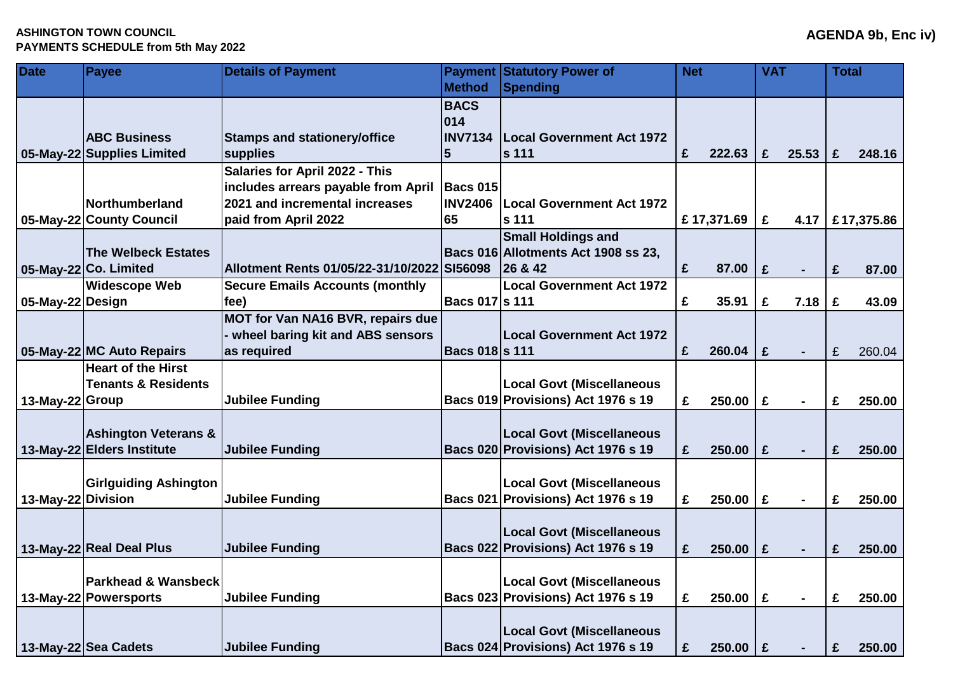## **ASHINGTON TOWN COUNCIL PAYMENTS SCHEDULE from 5th May 2022**

| <b>Date</b>        | <b>Payee</b>                                                  | <b>Details of Payment</b>                                                                                                              |                                      | <b>Payment Statutory Power of</b>                                           | <b>Net</b> |              | <b>VAT</b>  |                | <b>Total</b> |            |
|--------------------|---------------------------------------------------------------|----------------------------------------------------------------------------------------------------------------------------------------|--------------------------------------|-----------------------------------------------------------------------------|------------|--------------|-------------|----------------|--------------|------------|
|                    |                                                               |                                                                                                                                        | <b>Method</b>                        | Spending                                                                    |            |              |             |                |              |            |
|                    | <b>ABC Business</b>                                           | <b>Stamps and stationery/office</b>                                                                                                    | <b>BACS</b><br>014<br><b>INV7134</b> | <b>Local Government Act 1972</b>                                            |            |              |             |                |              |            |
|                    | 05-May-22 Supplies Limited                                    | supplies                                                                                                                               | $5\phantom{.0}$                      | <b>s</b> 111                                                                | £          | 222.63       | £           | 25.53          | £            | 248.16     |
|                    | <b>Northumberland</b><br>05-May-22 County Council             | <b>Salaries for April 2022 - This</b><br>includes arrears payable from April<br>2021 and incremental increases<br>paid from April 2022 | <b>Bacs 015</b><br>65                | <b>INV2406   Local Government Act 1972</b><br>s 111                         |            | £17,371.69   | £           | 4.17           |              | £17,375.86 |
|                    | <b>The Welbeck Estates</b><br>05-May-22 Co. Limited           | Allotment Rents 01/05/22-31/10/2022 SI56098                                                                                            |                                      | <b>Small Holdings and</b><br>Bacs 016 Allotments Act 1908 ss 23,<br>26 & 42 | £          | 87.00        | £           | $\blacksquare$ | £            | 87.00      |
| 05-May-22 Design   | <b>Widescope Web</b>                                          | <b>Secure Emails Accounts (monthly</b><br>fee)                                                                                         | <b>Bacs 017 s 111</b>                | <b>Local Government Act 1972</b>                                            | £          | 35.91        | £           | 7.18           | £            | 43.09      |
|                    | 05-May-22 MC Auto Repairs                                     | <b>MOT for Van NA16 BVR, repairs due</b><br>wheel baring kit and ABS sensors<br>as required                                            | <b>Bacs 018 s 111</b>                | <b>Local Government Act 1972</b>                                            | £          | 260.04       | £           | ä,             | £            | 260.04     |
| 13-May-22 Group    | <b>Heart of the Hirst</b><br><b>Tenants &amp; Residents</b>   | <b>Jubilee Funding</b>                                                                                                                 |                                      | <b>Local Govt (Miscellaneous</b><br>Bacs 019 Provisions) Act 1976 s 19      | £          | 250.00       | £           | $\blacksquare$ | £            | 250.00     |
|                    | <b>Ashington Veterans &amp;</b><br>13-May-22 Elders Institute | <b>Jubilee Funding</b>                                                                                                                 |                                      | <b>Local Govt (Miscellaneous</b><br>Bacs 020 Provisions) Act 1976 s 19      | £          | 250.00       | $\mathbf f$ | $\blacksquare$ | £            | 250.00     |
| 13-May-22 Division | <b>Girlguiding Ashington</b>                                  | <b>Jubilee Funding</b>                                                                                                                 |                                      | <b>Local Govt (Miscellaneous</b><br>Bacs 021 Provisions) Act 1976 s 19      | £          | 250.00       | £           | $\blacksquare$ | £            | 250.00     |
|                    | 13-May-22 Real Deal Plus                                      | <b>Jubilee Funding</b>                                                                                                                 |                                      | <b>Local Govt (Miscellaneous</b><br>Bacs 022 Provisions) Act 1976 s 19      | £          | 250.00       | £           |                | £            | 250.00     |
|                    | Parkhead & Wansbeck<br>13-May-22 Powersports                  | <b>Jubilee Funding</b>                                                                                                                 |                                      | <b>Local Govt (Miscellaneous</b><br>Bacs 023 Provisions) Act 1976 s 19      | £          | 250.00       | £           | $\blacksquare$ | £            | 250.00     |
|                    | 13-May-22 Sea Cadets                                          | <b>Jubilee Funding</b>                                                                                                                 |                                      | <b>Local Govt (Miscellaneous</b><br>Bacs 024 Provisions) Act 1976 s 19      | £          | $250.00$   £ |             |                | £            | 250.00     |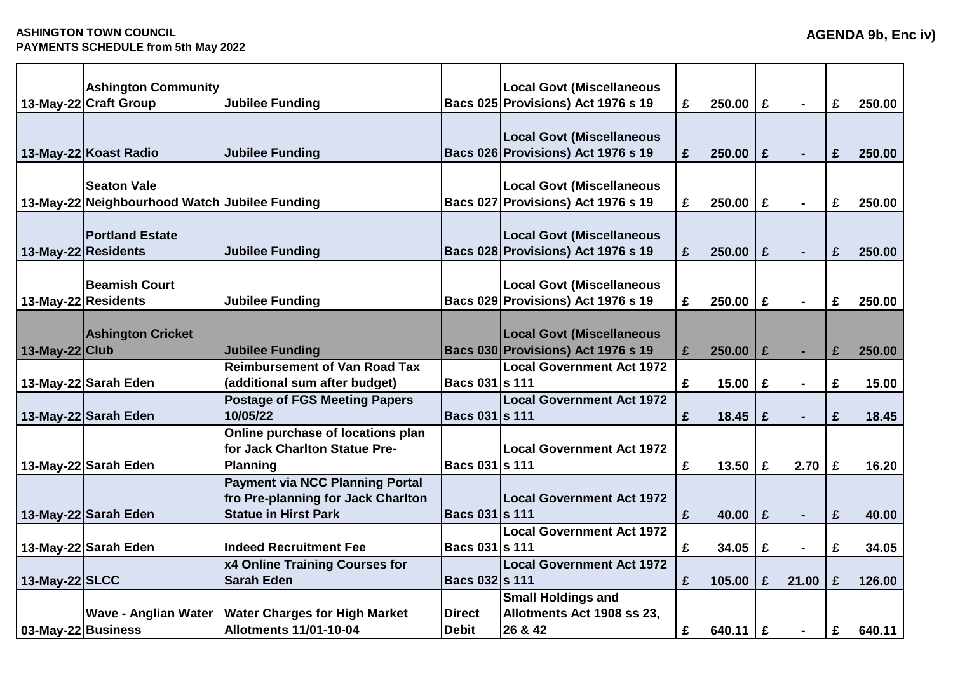|                    | <b>Ashington Community</b>                    |                                        |                       | <b>Local Govt (Miscellaneous</b>   |   |            |   |                |   |        |
|--------------------|-----------------------------------------------|----------------------------------------|-----------------------|------------------------------------|---|------------|---|----------------|---|--------|
|                    | 13-May-22 Craft Group                         | <b>Jubilee Funding</b>                 |                       | Bacs 025 Provisions) Act 1976 s 19 | £ | 250.00     | £ | $\blacksquare$ | £ | 250.00 |
|                    |                                               |                                        |                       |                                    |   |            |   |                |   |        |
|                    |                                               |                                        |                       | <b>Local Govt (Miscellaneous</b>   |   |            |   |                |   |        |
|                    | 13-May-22 Koast Radio                         | <b>Jubilee Funding</b>                 |                       | Bacs 026 Provisions) Act 1976 s 19 | £ | 250.00     | £ | $\blacksquare$ | £ | 250.00 |
|                    |                                               |                                        |                       |                                    |   |            |   |                |   |        |
|                    | <b>Seaton Vale</b>                            |                                        |                       | <b>Local Govt (Miscellaneous</b>   |   |            |   |                |   |        |
|                    | 13-May-22 Neighbourhood Watch Jubilee Funding |                                        |                       | Bacs 027 Provisions) Act 1976 s 19 | £ | 250.00     | £ | $\blacksquare$ | £ | 250.00 |
|                    |                                               |                                        |                       |                                    |   |            |   |                |   |        |
|                    | <b>Portland Estate</b>                        |                                        |                       | <b>Local Govt (Miscellaneous</b>   |   |            |   |                |   |        |
|                    | 13-May-22 Residents                           | <b>Jubilee Funding</b>                 |                       | Bacs 028 Provisions) Act 1976 s 19 | £ | 250.00     | £ | $\blacksquare$ | £ | 250.00 |
|                    |                                               |                                        |                       |                                    |   |            |   |                |   |        |
|                    | <b>Beamish Court</b>                          |                                        |                       | <b>Local Govt (Miscellaneous</b>   |   |            |   |                |   |        |
|                    | 13-May-22 Residents                           | <b>Jubilee Funding</b>                 |                       | Bacs 029 Provisions) Act 1976 s 19 | £ | 250.00     | £ |                | £ | 250.00 |
|                    | <b>Ashington Cricket</b>                      |                                        |                       | <b>Local Govt (Miscellaneous</b>   |   |            |   |                |   |        |
| 13-May-22 Club     |                                               | <b>Jubilee Funding</b>                 |                       | Bacs 030 Provisions) Act 1976 s 19 | £ | 250.00     | £ | $\blacksquare$ | £ | 250.00 |
|                    |                                               | <b>Reimbursement of Van Road Tax</b>   |                       | <b>Local Government Act 1972</b>   |   |            |   |                |   |        |
|                    | 13-May-22 Sarah Eden                          | (additional sum after budget)          | Bacs 031 s 111        |                                    | £ | 15.00      | £ | $\blacksquare$ | £ | 15.00  |
|                    |                                               | <b>Postage of FGS Meeting Papers</b>   |                       | <b>Local Government Act 1972</b>   |   |            |   |                |   |        |
|                    | 13-May-22 Sarah Eden                          | 10/05/22                               | Bacs 031 s 111        |                                    | £ | 18.45      | £ |                | £ | 18.45  |
|                    |                                               | Online purchase of locations plan      |                       |                                    |   |            |   |                |   |        |
|                    |                                               | for Jack Charlton Statue Pre-          |                       | <b>Local Government Act 1972</b>   |   |            |   |                |   |        |
|                    | 13-May-22 Sarah Eden                          | <b>Planning</b>                        | <b>Bacs 031 s 111</b> |                                    | £ | 13.50      | £ | 2.70           | £ | 16.20  |
|                    |                                               | <b>Payment via NCC Planning Portal</b> |                       |                                    |   |            |   |                |   |        |
|                    |                                               | fro Pre-planning for Jack Charlton     |                       | <b>Local Government Act 1972</b>   |   |            |   |                |   |        |
|                    | 13-May-22 Sarah Eden                          | <b>Statue in Hirst Park</b>            | <b>Bacs 031 s 111</b> |                                    | £ | 40.00      | £ |                | £ | 40.00  |
|                    |                                               |                                        |                       | <b>Local Government Act 1972</b>   |   |            |   |                |   |        |
|                    | 13-May-22 Sarah Eden                          | <b>Indeed Recruitment Fee</b>          | Bacs 031 s 111        |                                    | £ | 34.05      | £ |                | £ | 34.05  |
|                    |                                               | x4 Online Training Courses for         |                       | <b>Local Government Act 1972</b>   |   |            |   |                |   |        |
| 13-May-22 SLCC     |                                               | <b>Sarah Eden</b>                      | <b>Bacs 032 s 111</b> |                                    | £ | 105.00     | £ | 21.00          | £ | 126.00 |
|                    |                                               |                                        |                       | <b>Small Holdings and</b>          |   |            |   |                |   |        |
|                    | <b>Wave - Anglian Water</b>                   | <b>Water Charges for High Market</b>   | <b>Direct</b>         | Allotments Act 1908 ss 23,         |   |            |   |                |   |        |
| 03-May-22 Business |                                               | <b>Allotments 11/01-10-04</b>          | <b>Debit</b>          | 26 & 42                            | £ | 640.11   £ |   |                | £ | 640.11 |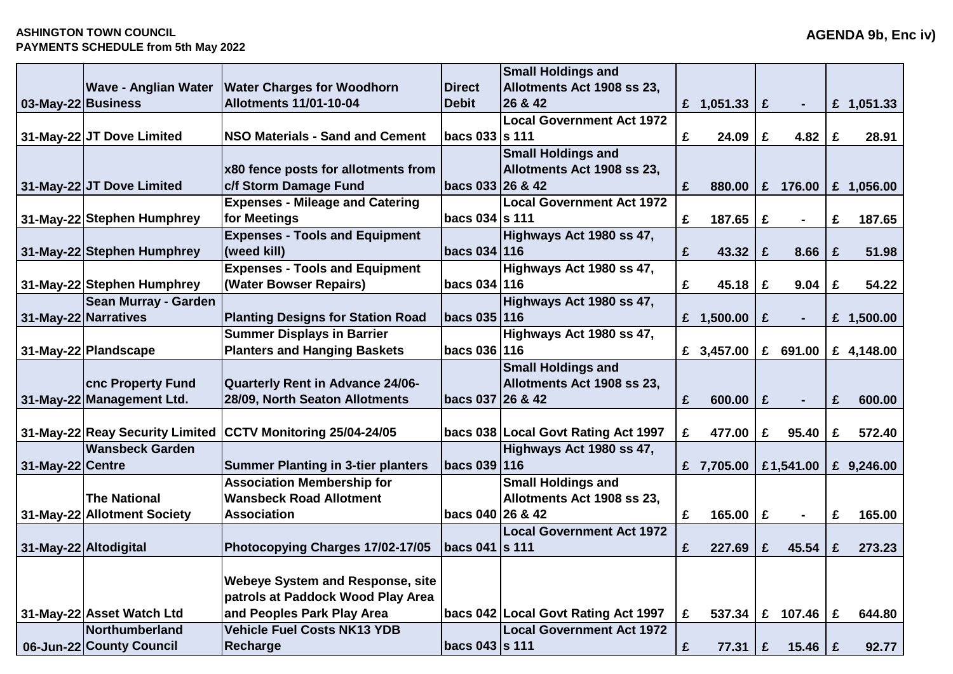## **ASHINGTON TOWN COUNCIL PAYMENTS SCHEDULE from 5th May 2022**

|                    |                             |                                                             |                  | <b>Small Holdings and</b>             |   |              |              |                |   |              |
|--------------------|-----------------------------|-------------------------------------------------------------|------------------|---------------------------------------|---|--------------|--------------|----------------|---|--------------|
|                    | <b>Wave - Anglian Water</b> | <b>Water Charges for Woodhorn</b>                           | <b>Direct</b>    | Allotments Act 1908 ss 23,            |   |              |              |                |   |              |
| 03-May-22 Business |                             | <b>Allotments 11/01-10-04</b>                               | <b>Debit</b>     | 26 & 42                               |   | £ $1,051.33$ | $\mathbf f$  | $\sim$         |   | £ $1,051.33$ |
|                    |                             |                                                             |                  | <b>Local Government Act 1972</b>      |   |              |              |                |   |              |
|                    | 31-May-22 JT Dove Limited   | <b>NSO Materials - Sand and Cement</b>                      | bacs 033 s 111   |                                       | £ | 24.09        | £            | 4.82           | £ | 28.91        |
|                    |                             |                                                             |                  | <b>Small Holdings and</b>             |   |              |              |                |   |              |
|                    |                             | <b>x80 fence posts for allotments from</b>                  |                  | Allotments Act 1908 ss 23,            |   |              |              |                |   |              |
|                    | 31-May-22 JT Dove Limited   | c/f Storm Damage Fund                                       | bacs 033 26 & 42 |                                       | £ | 880.00       | $\mathbf{f}$ | 176.00         |   | £ $1,056.00$ |
|                    |                             | <b>Expenses - Mileage and Catering</b>                      |                  | <b>Local Government Act 1972</b>      |   |              |              |                |   |              |
|                    | 31-May-22 Stephen Humphrey  | for Meetings                                                | bacs 034 s 111   |                                       | £ | 187.65       | £            | $\blacksquare$ | £ | 187.65       |
|                    |                             | <b>Expenses - Tools and Equipment</b>                       |                  | Highways Act 1980 ss 47,              |   |              |              |                |   |              |
|                    | 31-May-22 Stephen Humphrey  | (weed kill)                                                 | bacs 034 116     |                                       | £ | 43.32        | £            | 8.66           | £ | 51.98        |
|                    |                             | <b>Expenses - Tools and Equipment</b>                       |                  | Highways Act 1980 ss 47,              |   |              |              |                |   |              |
|                    | 31-May-22 Stephen Humphrey  | (Water Bowser Repairs)                                      | bacs 034 116     |                                       | £ | 45.18        | £            | 9.04           | £ | 54.22        |
|                    | <b>Sean Murray - Garden</b> |                                                             |                  | Highways Act 1980 ss 47,              |   |              |              |                |   |              |
|                    | 31-May-22 Narratives        | <b>Planting Designs for Station Road</b>                    | bacs 035   116   |                                       |   | £ $1,500.00$ | £            | $\blacksquare$ |   | £ $1,500.00$ |
|                    |                             | <b>Summer Displays in Barrier</b>                           |                  | Highways Act 1980 ss 47,              |   |              |              |                |   |              |
|                    | 31-May-22 Plandscape        | <b>Planters and Hanging Baskets</b>                         | bacs 036 116     |                                       |   | £ 3,457.00   |              | £ 691.00       |   | £ 4,148.00   |
|                    |                             |                                                             |                  | <b>Small Holdings and</b>             |   |              |              |                |   |              |
|                    | <b>cnc Property Fund</b>    | Quarterly Rent in Advance 24/06-                            |                  | Allotments Act 1908 ss 23,            |   |              |              |                |   |              |
|                    | 31-May-22 Management Ltd.   | 28/09, North Seaton Allotments                              | bacs 037 26 & 42 |                                       | £ | 600.00       | £            | $\blacksquare$ | £ | 600.00       |
|                    |                             |                                                             |                  |                                       |   |              |              |                |   |              |
|                    |                             | 31-May-22 Reay Security Limited CCTV Monitoring 25/04-24/05 |                  | bacs 038   Local Govt Rating Act 1997 | £ | 477.00       | £            | 95.40          | £ | 572.40       |
|                    | <b>Wansbeck Garden</b>      |                                                             |                  | Highways Act 1980 ss 47,              |   |              |              |                |   |              |
| 31-May-22 Centre   |                             | <b>Summer Planting in 3-tier planters</b>                   | bacs 039 116     |                                       |   | £ 7,705.00   |              | £1,541.00      |   | £ $9,246.00$ |
|                    |                             | <b>Association Membership for</b>                           |                  | <b>Small Holdings and</b>             |   |              |              |                |   |              |
|                    | <b>The National</b>         | <b>Wansbeck Road Allotment</b>                              |                  | Allotments Act 1908 ss 23,            |   |              |              |                |   |              |
|                    | 31-May-22 Allotment Society | <b>Association</b>                                          | bacs 040 26 & 42 |                                       | £ | 165.00       | £            | $\blacksquare$ | £ | 165.00       |
|                    |                             |                                                             |                  | <b>Local Government Act 1972</b>      |   |              |              |                |   |              |
|                    | 31-May-22 Altodigital       | Photocopying Charges 17/02-17/05                            | bacs 041  s 111  |                                       | £ | 227.69       | £            | 45.54          | £ | 273.23       |
|                    |                             |                                                             |                  |                                       |   |              |              |                |   |              |
|                    |                             | <b>Webeye System and Response, site</b>                     |                  |                                       |   |              |              |                |   |              |
|                    |                             | patrols at Paddock Wood Play Area                           |                  |                                       |   |              |              |                |   |              |
|                    | 31-May-22 Asset Watch Ltd   | and Peoples Park Play Area                                  |                  | bacs 042 Local Govt Rating Act 1997   | £ | 537.34       |              | £ $107.46$     | £ | 644.80       |
|                    | Northumberland              | <b>Vehicle Fuel Costs NK13 YDB</b>                          |                  | <b>Local Government Act 1972</b>      |   |              |              |                |   |              |
|                    | 06-Jun-22 County Council    | <b>Recharge</b>                                             | bacs 043  s 111  |                                       | £ | 77.31        | £            | 15.46   £      |   | 92.77        |